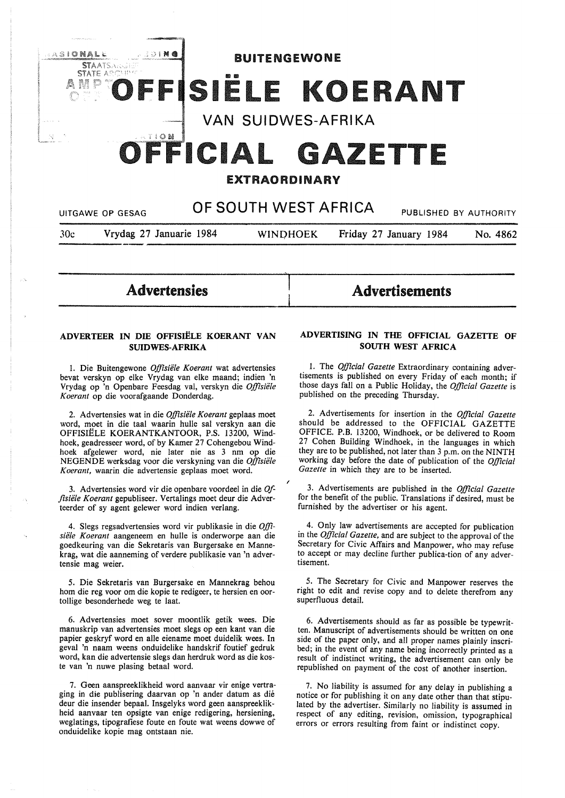

# EXTRAORDINARY

|     | UITGAWE OP GESAG        | OF SOUTH WEST AFRICA |                        | PUBLISHED BY AUTHORITY |
|-----|-------------------------|----------------------|------------------------|------------------------|
| 30c | Vrydag 27 Januarie 1984 | <b>WINDHOEK</b>      | Friday 27 January 1984 | No. 4862               |

—<br>1<br>|

l

/

Advertensies

# Advertisements

# **ADVERTEER IN DIE OFFISIELE KOERANT VAN SUIDWES-AFRIKA**

I. Die Buitengewone *Offisiele Koerant* wat advertensies bevat verskyn op elke Vrydag van elke maand; indien 'n Vrydag op 'n Openbare Feesdag val, verskyn die *Offisiele Koerant* op die voorafgaande Donderdag.

2. Advertensies wat in die *Offisiiile Koerant* geplaas moet word, moet in die taal waarin hulle sal verskyn aan die OFFISIELE KOERANTKANTOOR, P.S. 13200, Windhoek, geadresseer word, of by Kamer 27 Cohengebou Windhoek afgelewer word, nie later nie as 3 nm op die NEGENDE werksdag voor die verskyning van die *Offisie1e Koerant,* waarin die advertensie geplaas moet word.

3. Advertensies word vir die openbare voordeel in die *Offisiele Koerant* gepubliseer. Vertalings moet deur die Adverteerder of sy agent gelewer word indien verlang.

4. Slegs regsadvertensies word vir publikasie in die *Offisiele Koerant* aangeneem en hulle is onderworpe aan die goedkeuring van die Sekretaris van Burgersake en Mannekrag, wat die aanneming of verdere publikasie van 'n advertensie mag weier.

5. Die Sekretaris van Burgersake en Mannekrag behou horn die reg voor om die kopie te redigeer, te hersien en oortollige besonderhede weg te laat.

6. Advertensies moet sover moontlik getik wees. Die manuskrip van advertensies moet slegs op een kant van die papier geskryf word en alle eiename moet duidelik wees. In geval 'n naam weens onduidelike handskrif foutief gedruk word, kan die advertensie slegs dan herdruk word as die koste van 'n nuwe plasing betaal word.

7. Geen aanspreeklikheid word aanvaar vir enige vertraging in die publisering daarvan op 'n ander datum as die deur die insender bepaal. Insgelyks word geen aanspreeklikheid aanvaar ten opsigte van enige redigering, hersiening, weglatings, tipografiese foute en foute wat weens dowwe of onduidelike kopie mag ontstaan nie.

# **ADVERTISING IN THE OFFICIAL GAZETTE OF SOUTH WEST AFRICA**

1. The *Official Gazette* Extraordinary containing advertisements is published on every Friday of each month; if those days fall on a Public Holiday, the *Official Gazette* is published on the preceding Thursday.

2. Advertisements for insertion in the *Official Gazette*  should be addressed to the OFFICIAL GAZETTE OFFICE. P.B. 13200, Windhoek, or be delivered to Room 27 Cohen Building Windhoek, in the languages in which they are to be published, not later than 3 p.m. on the NINTH working day before the date of publication of the *Official Gazette* in which they are to be inserted.

3. Advertisements are published in the *Official Gazette*  for the benefit of the public. Translations if desired, must be furnished by the advertiser or his agent.

4. Only law advertisements are accepted for publication in the *Official Gazette,* and are subject to the approval of the Secretary for Civic Affairs and Manpower, who may refuse to accept or may decline further publica-tion of any advertisement.

5. The Secretary for Civic and Manpower reserves the right to edit and revise copy and to delete therefrom any superfluous detail.

6. Advertisements should as far as possible be typewritten. Manuscript of advertisements should be written on one side of the paper only, and all proper names plainly inscribed; in the event of any name being incorrectly printed as a result of indistinct writing, the advertisement can only be republished on payment of the cost of another insertion.

7. No liability is assumed for any delay in publishing a notice or for publishing it on any date other than that stipulated by the advertiser. Similarly no liability is assumed in respect of any editing, revision, omission, typographical errors or errors resulting from faint or indistinct copy.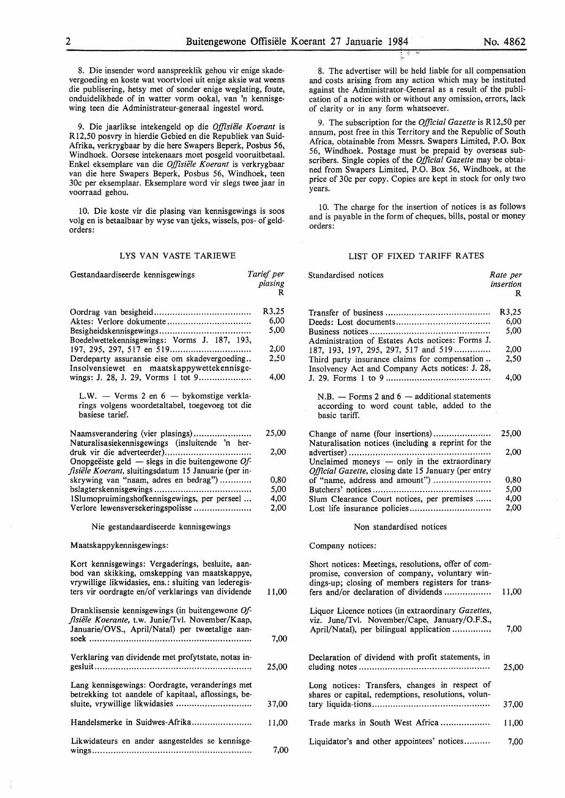8. Die insender word aanspreeklik gehou vir enige skadevergoeding en koste wat voortvloei uit enige aksie wat weens die publisering, hetsy met of sonder enige weglating, foute, onduidelikhede of in watter vorm ookal, van 'n kennisgewing teen die Administrateur-generaal ingestel word.

9. Die jaarlikse intekengeld op die *Offisiiile Koerant* is Rl2,50 posvry in hierdie Gebied en die Republiek van Suid-Afrika, verkrygbaar by die here Swapers Beperk, Posbus 56, Windhoek. Oorsese intekenaars moet posgeld vooruitbetaal. Enke! eksemplare van die *Offisiiile Koerant* is verkrygbaar van die here Swapers Beperk, Posbus 56, Windhoek, teen 30c per eksemplaar. Eksemplare word vir slegs twee jaar in voorraad gehou.

10. Die koste vir die plasing van kennisgewings is soos volg en is betaalbaar by wyse van tjeks, wissels, pos- of geldorders:

### LYS VAN VASTE TARIEWE

| Gestandaardiseerde kennisgewings                                                                                                                                                                                 | Tarief per<br>plasing<br>R |
|------------------------------------------------------------------------------------------------------------------------------------------------------------------------------------------------------------------|----------------------------|
| Aktes: Verlore dokumente<br>Boedelwettekennisgewings: Vorms J. 187, 193,                                                                                                                                         | R3,25<br>6.00<br>5,00      |
|                                                                                                                                                                                                                  | 2,00                       |
| Derdeparty assuransie eise om skadevergoeding<br>Insolvensiewet en maatskappywettekennisge-                                                                                                                      | 2,50                       |
| wings: J. 28, J. 29, Vorms 1 tot 9                                                                                                                                                                               | 4,00                       |
| L.W. - Vorms 2 en 6 - bykomstige verkla-<br>rings volgens woordetaltabel, toegevoeg tot die<br>basiese tarief.                                                                                                   |                            |
| Naamsverandering (vier plasings)<br>Naturalisasiekennisgewings (insluitende 'n her-                                                                                                                              | 25,00                      |
| Onopgeëiste geld — slegs in die buitengewone Of-<br>fisiële Koerant, sluitingsdatum 15 Januarie (per in-                                                                                                         | 2,00                       |
| skrywing van "naam, adres en bedrag")                                                                                                                                                                            | 0.80                       |
|                                                                                                                                                                                                                  | 5,00                       |
| 1Slumopruimingshofkennisgewings, per perseel                                                                                                                                                                     | 4,00                       |
| Verlore lewensversekeringspolisse                                                                                                                                                                                | 2,00                       |
| Nie gestandaardiseerde kennisgewings                                                                                                                                                                             |                            |
| Maatskappykennisgewings:                                                                                                                                                                                         |                            |
| Kort kennisgewings: Vergaderings, besluite, aan-<br>bod van skikking, omskepping van maatskappye,<br>vrywillige likwidasies, ens.: sluiting van lederegis-<br>ters vir oordragte en/of verklarings van dividende | 11,00                      |
| Dranklisensie kennisgewings (in buitengewone Of-<br>fisiële Koerante, t.w. Junie/Tvl. November/Kaap,<br>Januarie/OVS., April/Natal) per tweetalige aan-                                                          |                            |
|                                                                                                                                                                                                                  | 7,00                       |
| Verklaring van dividende met profytstate, notas in-                                                                                                                                                              | 25,00                      |
| Lang kennisgewings: Oordragte, veranderings met<br>betrekking tot aandele of kapitaal, aflossings, be-<br>sluite, vrywillige likwidasies                                                                         | 37,00                      |
| Handelsmerke in Suidwes-Afrika                                                                                                                                                                                   | 11,00                      |
| Likwidateurs en ander aangesteldes se kennisge-                                                                                                                                                                  | 7,00                       |

8. The advertiser will be held liable for all compensation and costs arising from any action which may be instituted against the Administrator-General as a result of the publication of a notice with or without any omission, errors, lack of clarity or in any form whatsoever.

9. The subscription for the *Official Gazette* is Rl2,50 per annum, post free in this Territory and the Republic of South Africa, obtainable from Messrs. Swapers Limited, P.O. Box 56, Windhoek. Postage must be prepaid by overseas subscribers. Single copies of the *Official Gazette* may be obtained from Swapers Limited, P.O. Box 56, Windhoek, at the price of 30c per copy. Copies are kept in stock for only two years.

10. The charge for the insertion of notices is as follows and is payable in the form of cheques, bills, postal or money orders:

### LIST OF FIXED TARIFF RATES

| ' per<br>sing<br>R | Standardised notices                                                                                                                                                                               | Rate per<br>insertion<br>R |
|--------------------|----------------------------------------------------------------------------------------------------------------------------------------------------------------------------------------------------|----------------------------|
| 3.25               |                                                                                                                                                                                                    | R3,25                      |
| 6.00               |                                                                                                                                                                                                    | 6,00                       |
| 5.00               | Administration of Estates Acts notices: Forms J.                                                                                                                                                   | 5,00                       |
| 2,00               | 187, 193, 197, 295, 297, 517 and 519                                                                                                                                                               | 2,00                       |
| 2,50               | Third party insurance claims for compensation<br>Insolvency Act and Company Acts notices: J. 28,                                                                                                   | 2,50                       |
| 4,00               |                                                                                                                                                                                                    | 4,00                       |
|                    | $N.B.$ — Forms 2 and 6 — additional statements<br>according to word count table, added to the<br>basic tariff.                                                                                     |                            |
| 5,00               | Change of name (four insertions)<br>Naturalisation notices (including a reprint for the                                                                                                            | 25,00                      |
| 2,00               | Unclaimed moneys - only in the extraordinary<br>Official Gazette, closing date 15 January (per entry                                                                                               | 2,00                       |
| 0,80               | of "name, address and amount")                                                                                                                                                                     | 0,80                       |
| 5,00               |                                                                                                                                                                                                    | 5,00                       |
| 4,00               | Slum Clearance Court notices, per premises                                                                                                                                                         | 4,00                       |
| 2,00               |                                                                                                                                                                                                    | 2,00                       |
|                    | Non standardised notices                                                                                                                                                                           |                            |
|                    | Company notices:                                                                                                                                                                                   |                            |
| 1,00               | Short notices: Meetings, resolutions, offer of com-<br>promise, conversion of company, voluntary win-<br>dings-up; closing of members registers for trans-<br>fers and/or declaration of dividends | 11,00                      |
|                    | Liquor Licence notices (in extraordinary Gazettes,<br>viz. June/Tvl. November/Cape, January/O.F.S.,<br>April/Natal), per bilingual application                                                     | 7,00                       |
| 7,00               |                                                                                                                                                                                                    |                            |
| !5.00              | Declaration of dividend with profit statements, in                                                                                                                                                 | 25,00                      |
| 17,00              | Long notices: Transfers, changes in respect of<br>shares or capital, redemptions, resolutions, volun-                                                                                              | 37,00                      |
| 1,00               | Trade marks in South West Africa                                                                                                                                                                   | 11,00                      |
| 7,00               | Liquidator's and other appointees' notices                                                                                                                                                         | 7,00                       |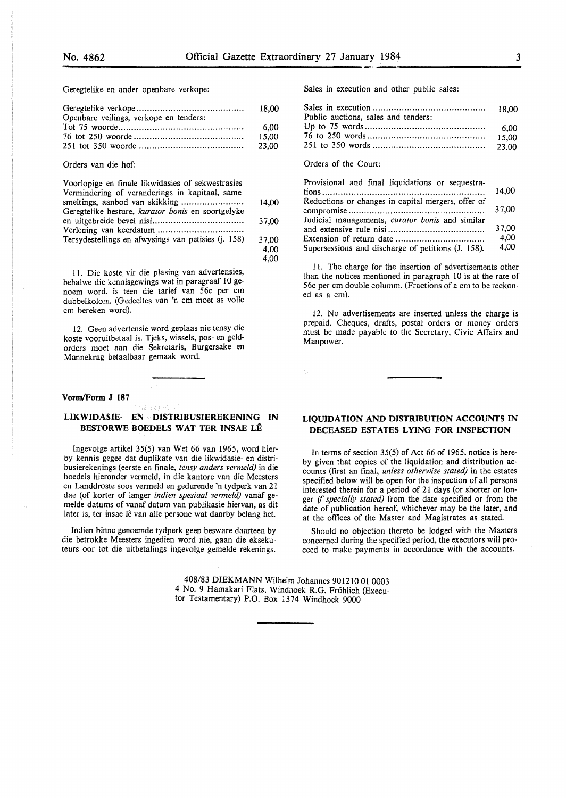4,00

Geregtelike en ander openbare verkope:

| Openbare veilings, verkope en tenders: |       |
|----------------------------------------|-------|
|                                        | 6.00  |
|                                        | 15.00 |
|                                        | 23.00 |
|                                        |       |

### Orders van die hof:

| Voorlopige en finale likwidasies of sekwestrasies<br>Vermindering of veranderings in kapitaal, same- |       |
|------------------------------------------------------------------------------------------------------|-------|
|                                                                                                      | 14.00 |
| Geregtelike besture, kurator bonis en soortgelyke                                                    |       |
|                                                                                                      | 37,00 |
|                                                                                                      |       |
| Tersydestellings en afwysings van petisies (j. 158)                                                  | 37.00 |
|                                                                                                      | 4.00  |

11. Die koste vir die plasing van advertensies, behalwe die kennisgewings wat in paragraaf 10 genoem word, is teen die tarief van 56c per cm dubbelkolom. (Gedeeltes van 'n cm moet as voile cm bereken word).

12. Geen advertensie word geplaas nie tensy die koste vooruitbetaal is. Tjeks, wissels, pos- en geldorders moet aan die Sekretaris, Burgersake en Mannekrag betaalbaar gemaak word.

#### **Vorm/Form J 187**

### LIKWIDASIE- **EN DISTRIBUSIEREKENING IN BESTORWE BOEDELS WAT TER INSAE LE**

lngevolge artikel 35(5) van Wet 66 van 1965, word hierby kennis gegee dat duplikate van die likwidasie- en distribusierekenings (eerste en finale, *tensy anders vermeld)* in die boedels hieronder vermeld, in die kantore van die Meesters en Landdroste soos vermeld en gedurende 'n tydperk van 21 dae (of korter of !anger *indien spesiaal vemzeld)* vanaf gemelde datums of vanaf datum van publikasie hiervan, as dit later is, ter insae lê van alle persone wat daarby belang het.

Indien binne genoemde tydperk geen besware daarteen by die betrokke Meesters ingedien word nie, gaan die eksekuteurs oor tot die uitbetalings ingevolge gemelde rekenings. Sales in execution and other public sales:

| Public auctions, sales and tenders: |       |
|-------------------------------------|-------|
|                                     | 15.00 |

# Orders of the Court:

| Provisional and final liquidations or sequestra-       |       |
|--------------------------------------------------------|-------|
|                                                        | 14,00 |
| Reductions or changes in capital mergers, offer of     |       |
|                                                        | 37.00 |
| Judicial managements, <i>curator bonis</i> and similar |       |
|                                                        | 37,00 |
|                                                        | 4.00  |
| Supersessions and discharge of petitions (J. 158).     | 4.00  |

I 1. The charge for the insertion of advertisements other than the notices mentioned in paragraph 10 is at the rate of 56c per cm double columm. (Fractions of a cm to be reckoned as a cm).

12. No advertisements are inserted unless the charge is prepaid. Cheques, drafts, postal orders or money orders must be made payable to the Secretary, Civic Affairs and Manpower.

## **LIQUIDATION AND DISTRIBUTION ACCOUNTS IN DECEASED ESTATES LYING FOR INSPECTION**

In terms of section 35(5) of Act 66 of 1965, notice is hereby given that copies of the liquidation and distribution accounts (first an final, *unless otherwise stated)* in the estates specified below will be open for the inspection of all persons interested therein for a period of 21 days (or shorter or longer if *specially stated)* from the date specified or from the date of publication hereof, whichever may be the later, and at the offices of the Master and Magistrates as stated.

Should no objection thereto be lodged with the Masters concerned during the specified period, the executors will proceed to make payments in accordance with the accounts.

408/83 **DIEKMANN** Wilhelm Johannes 90121001 0003 4 No. 9 Hamakari Flats, Windhoek R.G. Frohlich (Executor Testamentary) P.O. Box 1374 Windhoek 9000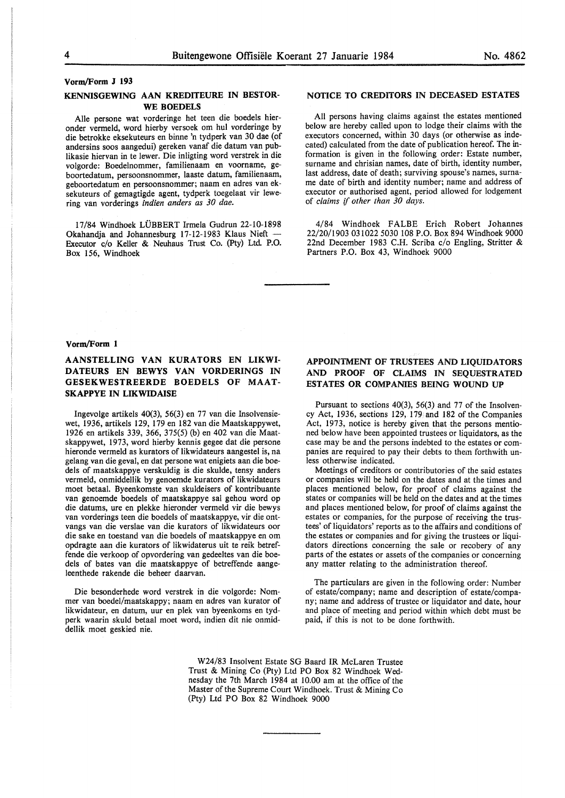### **Vorm/Form J 193**

# **KENNISGEWING AAN KREDITEURE IN BESTOR-WE BOEDELS**

Alie persone wat vorderinge het teen die boedels hieronder vermeld, word hierby versoek om hul vorderinge by die betrokke eksekuteurs en binne 'n tydperk van 30 dae (of andersins soos aangedui) gereken vanaf die datum van publikasie hiervan in te lewer. Die inligting word verstrek in die volgorde: Boedelnommer, familienaam en voorname, geboortedatum, persoonsnommer, laaste datum, familienaam, geboortedatum en persoonsnommer; naam en adres van eksekuteurs of gemagtigde agent, tydperk toegelaat vir lewering van vorderings *indien anders as 30 dae.* 

17/84 Windhoek LUBBERT Irmela Gudrun 22-10-1898 Okahandja and Johannesburg 17-12-1983 Klaus Nieft - Executor c/o Keller & Neuhaus Trust Co. (Pty) Ltd. P.O. Box 156, Windhoek

# **NOTICE TO CREDITORS** IN **DECEASED ESTATES**

All persons having claims against the estates mentioned below are hereby called upon to lodge their claims with the executors concerned, within 30 days (or otherwise as indecated) calculated from the date of publication hereof. The information is given in the following order: Estate number, surname and chrisian names, date of birth, identity number, last address, date of death; surviving spouse's names, surname date of birth and identity number; name and address of executor or authorised agent, period allowed for lodgement of *claims if other than 30 days.* 

4/84 Windhoek FALBE Erich Robert Johannes 22/20/1903 031022 5030 108 P.O. Box 894 Windhoek 9000 22nd December 1983 C.H. Scriba c/o Engling, Stritter & Partners P.O. Box 43, Windhoek 9000

#### **Vorm/Form 1**

# **AANSTELLING VAN KURATORS EN LIKWI-DATEURS EN BEWYS VAN VORDERINGS IN GESEKWESTREERDE BOEDELS OF MAAT-SKAPPYE IN LIKWIDAISE**

lngevolge artikels 40(3), 56(3) en 77 van die Insolvensiewet, 1936, artikels 129, 179 en 182 van die Maatskappywet, 1926 en artikels 339, 366, 375(5) (b) en 402 van die Maatskappywet, 1973, word hierby kennis gegee dat die persone hieronde vermeld as kurators of Iikwidateurs aangestel is, na gelang van die geval, en dat persone wat enigiets aan die boedels of maatskappye verskuldig is die skulde, tensy anders vermeld, onmiddellik by genoemde kurators of likwidateurs moet betaal. Byeenkomste van skuldeisers of kontribuante van genoemde boedels of maatskappye sal gehou word op die datums, ure en plekke hieronder vermeld vir die bewys van vorderings teen die boedels of maatskappye, vir die ontvangs van die verslae van die kurators of likwidateurs oor die sake en toestand van die boedels of maatskappye en om opdragte aan die kurators of likwidaterus uit te reik betreffende die verkoop of opvordering van gedeeltes van die boedels of bates van die maatskappye of betreffende aangeleenthede rakende die beheer daarvan.

Die besonderhede word verstrek in die volgorde: Nommer van boedel/maatskappy; naam en adres van kurator of likwidateur, en datum, uur en plek van byeenkoms en tydperk waarin skuld betaal moet word, indien dit nie onmiddellik moet geskied nie.

# **APPOINTMENT OF TRUSTEES AND LIQUIDATORS AND PROOF OF CLAIMS** IN **SEQUESTRATED ESTATES OR COMPANIES BEING WOUND UP**

Pursuant to sections 40(3), 56(3) and 77 of the Insolvency Act, 1936, sections 129, 179 and 182 of the Companies Act, 1973, notice is hereby given that the persons mentioned below have been appointed trustees or liquidators, as the case may be and the persons indebted to the estates or companies are required to pay their debts to them forthwith unless otherwise indicated.

Meetings of creditors or contributories of the said estates or companies will be held on the dates and at the times and places mentioned below, for proof of claims against the states or companies will be held on the dates and at the times and places mentioned below, for proof of claims against the estates or companies, for the purpose of receiving the trustees' of liquidators' reports as to the affairs and conditions of the estates or companies and for giving the trustees or liquidators directions concerning the sale or recobery of any parts of the estates or assets of the companies or concerning any matter relating to the administration thereof.

The particulars are given in the following order: Number of estate/company; name and description of estate/company; name and address of trustee or liquidator and date, hour and place of meeting and period within which debt must be paid, if this is not to be done forthwith.

W24/83 Insolvent Estate SG Baard IR McLaren Trustee Trust & Mining Co (Pty) Ltd PO Box 82 Windhoek Wednesday the 7th March 1984 at 10.00 am at the office of the Master of the Supreme Court Windhoek. Trust & Mining Co (Pty) Ltd PO Box 82 Windhoek 9000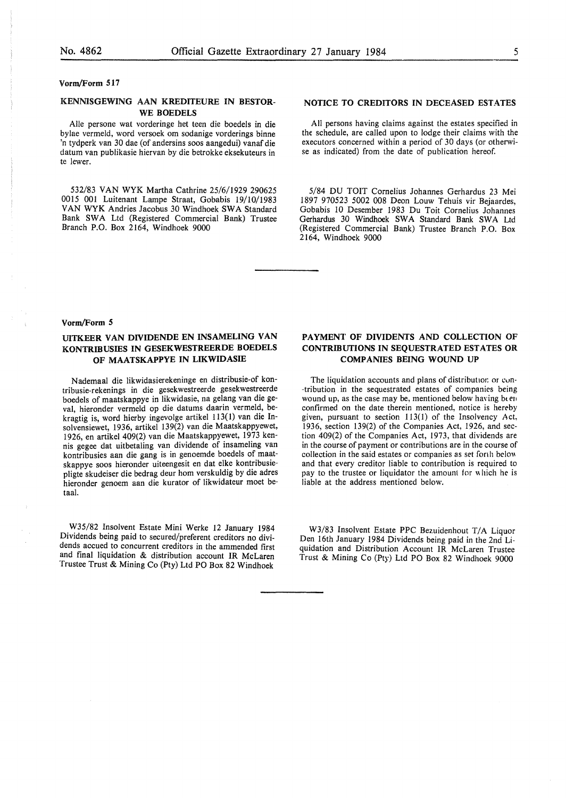#### **Vorm/Form 517**

# **KENNISGEWING AAN KREDITEURE IN BESTOR-WE BOEDELS**

Alie persone wat vorderinge het teen die boedels in die bylae vermeld, word versoek om sodanige vorderings binne 'n tydperk van 30 dae (of andersins soos aangedui) vanaf die datum van publikasie hiervan by die betrokke eksekuteurs in te lewer.

532/83 VAN WYK Martha Cathrine 25/6/1929 290625 0015 001 Luitenant Lampe Straat, Gobabis 19/10/1983 VAN WYK Andries Jacobus 30 Windhoek SWA Standard Bank SWA Ltd (Registered Commercial Bank) Trustee Branch P.O. Box 2164, Windhoek 9000

## **NOTICE TO CREDITORS IN DECEASED ESTATES**

All persons having claims against the estates specified in the schedule, are called upon to lodge their claims with the executors concerned within a period of 30 days (or otherwise as indicated) from the date of publication hereof.

5/84 DU TOIT Cornelius Johannes Gerhardus 23 Mei 1897 970523 5002 008 Deon Louw Tehuis vir Bejaardes, Gobabis 10 Desember 1983 Du Toit Cornelius Johannes Gerhardus 30 Windhoek SWA Standard Bank SWA Ltd (Registered Commercial Bank) Trustee Branch P.O. Box 2164, Windhoek 9000

#### **Vorm/Form 5**

# **UITKEER VAN DIVIDENDE EN INSAMELING VAN KONTRIBUSIES IN GESEKWESTREERDE BOEDELS OF MAATSKAPPYE IN LIKWIDASIE**

Nademaal die likwidasierekeninge en distribusie-of kontribusie-rekenings in die gesekwestreerde gesekwestreerde boedels of maatskappye in likwidasie, na gelang van die geval, hieronder vermeld op die datums daarin vermeld, bekragtig is, word hierby ingevolge artikel 113(1) van die Insolvensiewet, 1936, artikel 139(2) van die Maatskappyewet, 1926, en artikel 409(2) van die Maatskappyewet, 1973 kennis gegee dat uitbetaling van dividende of insameling van kontribusies aan die gang is in genoemde boedels of maatskappye soos hieronder uiteengesit en dat elke kontribusiepligte skudeiser die bedrag deur horn verskuldig by die adres hieronder genoem aan die kurator of likwidateur moet betaal.

W35/82 Insolvent Estate Mini Werke 12 January 1984 Dividends being paid to secured/preferent creditors no dividends accued to concurrent creditors in the ammended first and final liquidation & distribution account IR McLaren Trustee Trust & Mining Co (Pty) Ltd PO Box 82 Windhoek

# **PAYMENT OF DIVIDENTS AND COLLECTION OF CONTRIBUTIONS IN SEQUESTRATED ESTATES OR COMPANIES BEING WOUND UP**

The liquidation accounts and plans of distribution or con-·tribution in the sequestrated estates of companies being wound up, as the case may be, mentioned below having been confirmed on the date therein mentioned, notice is hereby given, pursuant to section 113(1) of the Insolvency *A* ct, 1936, section 139(2) of the Companies Act, 1926, and section 409(2) of the Companies Act, 1973, that dividends are in the course of payment or contributions are in the course of collection in the said estates or companies as set forth below and that every creditor liable to contribution is required to pay to the trustee or liquidator the amount for which he is liable at the address mentioned below.

W3/83 Insolvent Estate PPC Bezuidenhout *TIA* Liquor Den 16th January 1984 Dividends being paid in the 2nd Liquidation and Distribution Account IR McLaren Trustee Trust & Mining Co (Pty) Ltd PO Box 82 Windhoek 9000